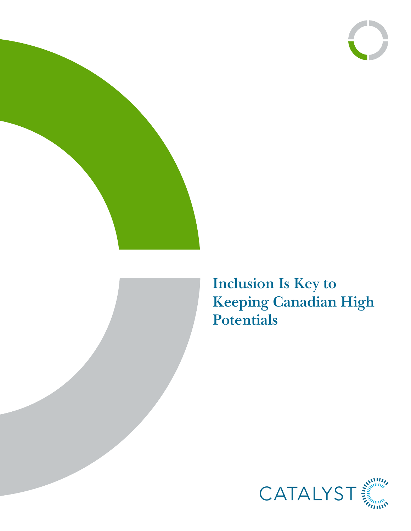





**Inclusion Is Key to Keeping Canadian High Potentials**

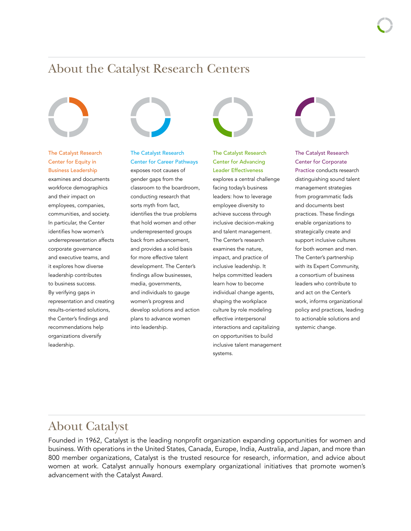## About the Catalyst Research Centers



The Catalyst Research Center for Equity in Business Leadership examines and documents workforce demographics and their impact on employees, companies, communities, and society. In particular, the Center identifies how women's underrepresentation affects corporate governance and executive teams, and it explores how diverse leadership contributes to business success. By verifying gaps in representation and creating results-oriented solutions, the Center's findings and recommendations help organizations diversify leadership.



### The Catalyst Research Center for Career Pathways

exposes root causes of gender gaps from the classroom to the boardroom, conducting research that sorts myth from fact, identifies the true problems that hold women and other underrepresented groups back from advancement, and provides a solid basis for more effective talent development. The Center's findings allow businesses, media, governments, and individuals to gauge women's progress and develop solutions and action plans to advance women into leadership.



The Catalyst Research Center for Advancing Leader Effectiveness explores a central challenge facing today's business leaders: how to leverage employee diversity to achieve success through inclusive decision-making and talent management. The Center's research examines the nature, impact, and practice of inclusive leadership. It helps committed leaders learn how to become individual change agents, shaping the workplace culture by role modeling effective interpersonal interactions and capitalizing on opportunities to build inclusive talent management systems.



#### The Catalyst Research Center for Corporate

Practice conducts research distinguishing sound talent management strategies from programmatic fads and documents best practices. These findings enable organizations to strategically create and support inclusive cultures for both women and men. The Center's partnership with its Expert Community, a consortium of business leaders who contribute to and act on the Center's work, informs organizational policy and practices, leading to actionable solutions and systemic change.

## About Catalyst

Founded in 1962, Catalyst is the leading nonprofit organization expanding opportunities for women and business. With operations in the United States, Canada, Europe, India, Australia, and Japan, and more than 800 member organizations, Catalyst is the trusted resource for research, information, and advice about women at work. Catalyst annually honours exemplary organizational initiatives that promote women's advancement with the Catalyst Award.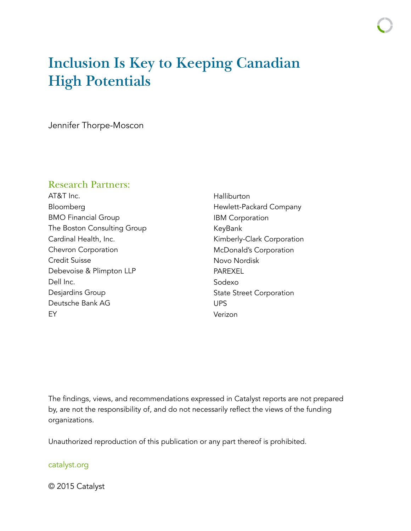# **Inclusion Is Key to Keeping Canadian High Potentials**

Jennifer Thorpe-Moscon

### Research Partners:

AT&T Inc. Bloomberg BMO Financial Group The Boston Consulting Group Cardinal Health, Inc. Chevron Corporation Credit Suisse Debevoise & Plimpton LLP Dell Inc. Desjardins Group Deutsche Bank AG EY

Halliburton Hewlett-Packard Company IBM Corporation KeyBank Kimberly-Clark Corporation McDonald's Corporation Novo Nordisk **PAREXEL** Sodexo State Street Corporation UPS Verizon

The findings, views, and recommendations expressed in Catalyst reports are not prepared by, are not the responsibility of, and do not necessarily reflect the views of the funding organizations.

Unauthorized reproduction of this publication or any part thereof is prohibited.

### [catalyst.org](http://catalyst.org)

© 2015 Catalyst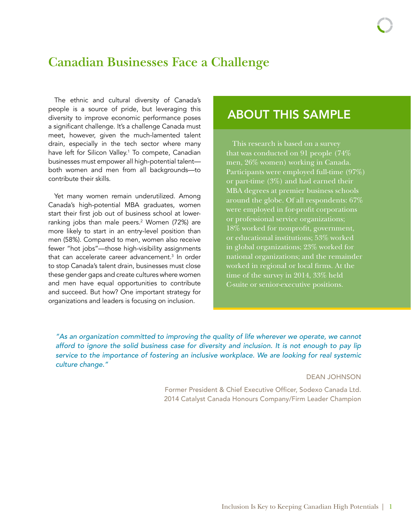## **Canadian Businesses Face a Challenge**

The ethnic and cultural diversity of Canada's people is a source of pride, but leveraging this diversity to improve economic performance poses a significant challenge. It's a challenge Canada must meet, however, given the much-lamented talent drain, especially in the tech sector where many have left for Silicon Valley.<sup>1</sup> To compete, Canadian businesses must empower all high-potential talent both women and men from all backgrounds—to contribute their skills.

Yet many women remain underutilized. Among Canada's high-potential MBA graduates, women start their first job out of business school at lowerranking jobs than male peers.<sup>2</sup> Women (72%) are more likely to start in an entry-level position than men (58%). Compared to men, women also receive fewer "hot jobs"—those high-visibility assignments that can accelerate career advancement.<sup>3</sup> In order to stop Canada's talent drain, businesses must close these gender gaps and create cultures where women and men have equal opportunities to contribute and succeed. But how? One important strategy for organizations and leaders is focusing on inclusion.

## ABOUT THIS SAMPLE

This research is based on a survey that was conducted on 91 people (74% men, 26% women) working in Canada. Participants were employed full-time (97%) or part-time (3%) and had earned their MBA degrees at premier business schools around the globe. Of all respondents: 67% were employed in for-profit corporations or professional service organizations; 18% worked for nonprofit, government, or educational institutions; 53% worked in global organizations; 23% worked for national organizations; and the remainder worked in regional or local firms. At the time of the survey in 2014, 33% held C-suite or senior-executive positions.

*"As an organization committed to improving the quality of life wherever we operate, we cannot afford to ignore the solid business case for diversity and inclusion. It is not enough to pay lip service to the importance of fostering an inclusive workplace. We are looking for real systemic culture change."*

### DEAN JOHNSON

Former President & Chief Executive Officer, Sodexo Canada Ltd. 2014 Catalyst Canada Honours Company/Firm Leader Champion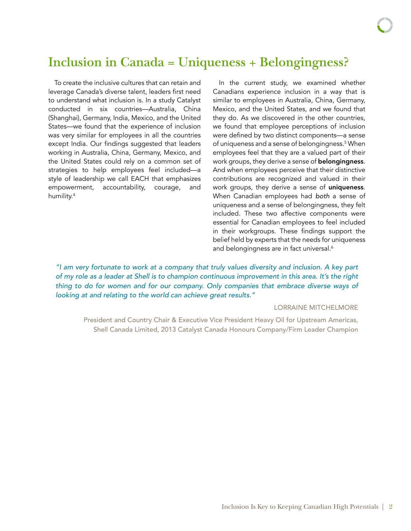## **Inclusion in Canada = Uniqueness + Belongingness?**

To create the inclusive cultures that can retain and leverage Canada's diverse talent, leaders first need to understand what inclusion is. In a study Catalyst conducted in six countries—Australia, China (Shanghai), Germany, India, Mexico, and the United States—we found that the experience of inclusion was very similar for employees in all the countries except India. Our findings suggested that leaders working in Australia, China, Germany, Mexico, and the United States could rely on a common set of strategies to help employees feel included—a style of leadership we call EACH that emphasizes empowerment, accountability, courage, and humility.<sup>4</sup>

In the current study, we examined whether Canadians experience inclusion in a way that is similar to employees in Australia, China, Germany, Mexico, and the United States, and we found that they do. As we discovered in the other countries, we found that employee perceptions of inclusion were defined by two distinct components—a sense of uniqueness and a sense of belongingness.<sup>5</sup> When employees feel that they are a valued part of their work groups, they derive a sense of **belongingness**. And when employees perceive that their distinctive contributions are recognized and valued in their work groups, they derive a sense of uniqueness. When Canadian employees had *both* a sense of uniqueness and a sense of belongingness, they felt included. These two affective components were essential for Canadian employees to feel included in their workgroups. These findings support the belief held by experts that the needs for uniqueness and belongingness are in fact universal.<sup>6</sup>

*"I am very fortunate to work at a company that truly values diversity and inclusion. A key part of my role as a leader at Shell is to champion continuous improvement in this area. It's the right thing to do for women and for our company. Only companies that embrace diverse ways of looking at and relating to the world can achieve great results."*

#### LORRAINE MITCHELMORE

President and Country Chair & Executive Vice President Heavy Oil for Upstream Americas, Shell Canada Limited, 2013 Catalyst Canada Honours Company/Firm Leader Champion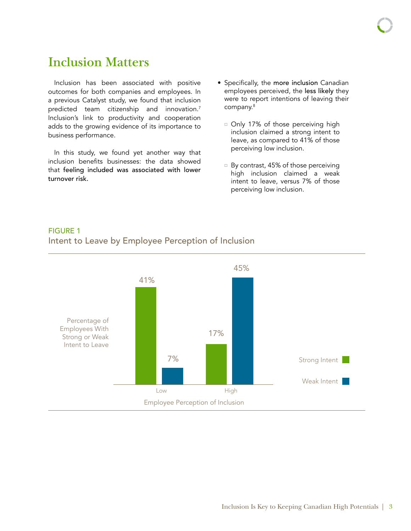# **Inclusion Matters**

Inclusion has been associated with positive outcomes for both companies and employees. In a previous Catalyst study, we found that inclusion predicted team citizenship and innovation.<sup>7</sup> Inclusion's link to productivity and cooperation adds to the growing evidence of its importance to business performance.

In this study, we found yet another way that inclusion benefits businesses: the data showed that feeling included was associated with lower turnover risk.

- Specifically, the more inclusion Canadian employees perceived, the less likely they were to report intentions of leaving their company.<sup>8</sup>
	- <sup>o</sup> Only 17% of those perceiving high inclusion claimed a strong intent to leave, as compared to 41% of those perceiving low inclusion.
	- $\Box$  By contrast, 45% of those perceiving high inclusion claimed a weak intent to leave, versus 7% of those perceiving low inclusion.

### FIGURE 1 Intent to Leave by Employee Perception of Inclusion

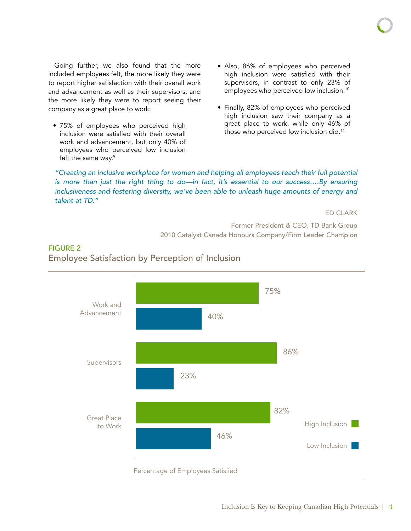Going further, we also found that the more included employees felt, the more likely they were to report higher satisfaction with their overall work and advancement as well as their supervisors, and the more likely they were to report seeing their company as a great place to work:

• 75% of employees who perceived high inclusion were satisfied with their overall work and advancement, but only 40% of employees who perceived low inclusion felt the same way.<sup>9</sup>

FIGURE 2

- Also, 86% of employees who perceived high inclusion were satisfied with their supervisors, in contrast to only 23% of employees who perceived low inclusion.<sup>10</sup>
- Finally, 82% of employees who perceived high inclusion saw their company as a great place to work, while only 46% of those who perceived low inclusion did.<sup>11</sup>

*"Creating an inclusive workplace for women and helping all employees reach their full potential is more than just the right thing to do—in fact, it's essential to our success....By ensuring* inclusiveness and fostering diversity, we've been able to unleash huge amounts of energy and *talent at TD."*

ED CLARK

Former President & CEO, TD Bank Group 2010 Catalyst Canada Honours Company/Firm Leader Champion



### Employee Satisfaction by Perception of Inclusion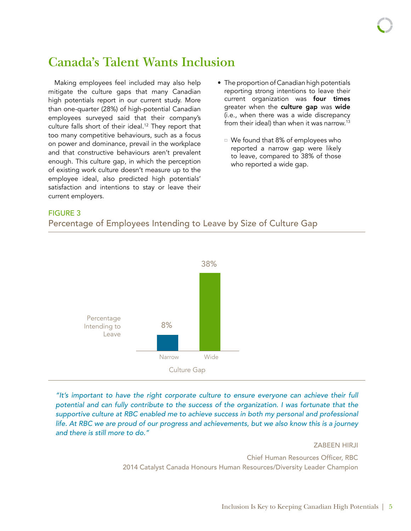## **Canada's Talent Wants Inclusion**

Making employees feel included may also help mitigate the culture gaps that many Canadian high potentials report in our current study. More than one-quarter (28%) of high-potential Canadian employees surveyed said that their company's culture falls short of their ideal.<sup>12</sup> They report that too many competitive behaviours, such as a focus on power and dominance, prevail in the workplace and that constructive behaviours aren't prevalent enough. This culture gap, in which the perception of existing work culture doesn't measure up to the employee ideal, also predicted high potentials' satisfaction and intentions to stay or leave their current employers.

- The proportion of Canadian high potentials reporting strong intentions to leave their current organization was four times greater when the culture gap was wide (i.e., when there was a wide discrepancy from their ideal) than when it was narrow.<sup>13</sup>
	- $\Box$  We found that 8% of employees who reported a narrow gap were likely to leave, compared to 38% of those who reported a wide gap.

#### FIGURE 3





*"It's important to have the right corporate culture to ensure everyone can achieve their full potential and can fully contribute to the success of the organization. I was fortunate that the*  supportive culture at RBC enabled me to achieve success in both my personal and professional *life. At RBC we are proud of our progress and achievements, but we also know this is a journey and there is still more to do."*

ZABEEN HIRJI

Chief Human Resources Officer, RBC 2014 Catalyst Canada Honours Human Resources/Diversity Leader Champion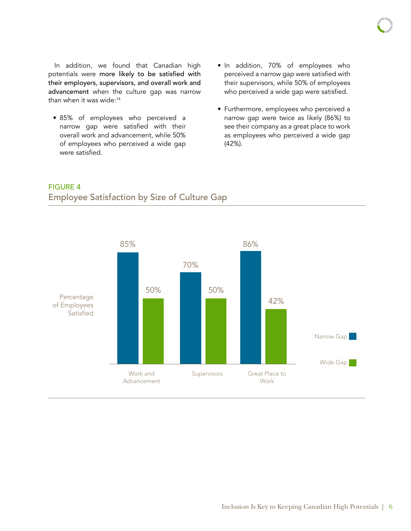In addition, we found that Canadian high potentials were more likely to be satisfied with their employers, supervisors, and overall work and advancement when the culture gap was narrow than when it was wide:<sup>14</sup>

- 85% of employees who perceived a narrow gap were satisfied with their overall work and advancement, while 50% of employees who perceived a wide gap were satisfied.
- In addition, 70% of employees who perceived a narrow gap were satisfied with their supervisors, while 50% of employees who perceived a wide gap were satisfied.
- Furthermore, employees who perceived a narrow gap were twice as likely (86%) to see their company as a great place to work as employees who perceived a wide gap (42%).



### FIGURE 4 Employee Satisfaction by Size of Culture Gap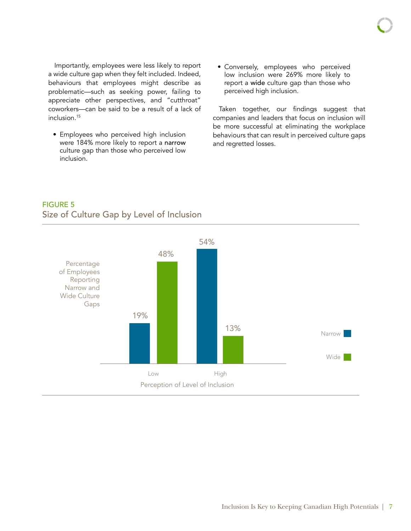Importantly, employees were less likely to report a wide culture gap when they felt included. Indeed, behaviours that employees might describe as problematic—such as seeking power, failing to appreciate other perspectives, and "cutthroat" coworkers—can be said to be a result of a lack of

• Employees who perceived high inclusion were 184% more likely to report a narrow culture gap than those who perceived low inclusion.

inclusion.<sup>15</sup>

• Conversely, employees who perceived low inclusion were 269% more likely to report a wide culture gap than those who perceived high inclusion.

Taken together, our findings suggest that companies and leaders that focus on inclusion will be more successful at eliminating the workplace behaviours that can result in perceived culture gaps and regretted losses.

### Narrow | Wide<sup></sup> Low High 19% 48% 54% 13% Percentage of Employees Reporting Narrow and Wide Culture Gaps Perception of Level of Inclusion

### FIGURE 5 Size of Culture Gap by Level of Inclusion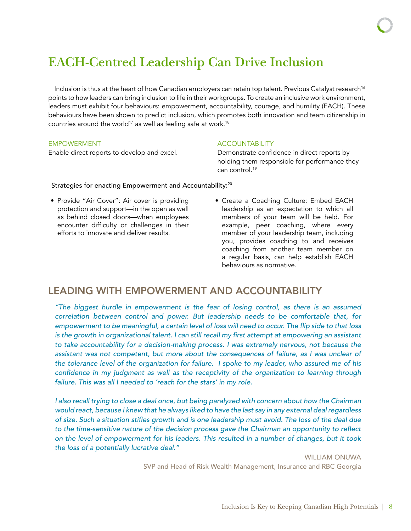# **EACH-Centred Leadership Can Drive Inclusion**

Inclusion is thus at the heart of how Canadian employers can retain top talent. Previous Catalyst research<sup>16</sup> points to how leaders can bring inclusion to life in their workgroups. To create an inclusive work environment, leaders must exhibit four behaviours: empowerment, accountability, courage, and humility (EACH). These behaviours have been shown to predict inclusion, which promotes both innovation and team citizenship in countries around the world<sup>17</sup> as well as feeling safe at work.<sup>18</sup>

#### EMPOWERMENT

Enable direct reports to develop and excel.

### **ACCOUNTABILITY**

Demonstrate confidence in direct reports by holding them responsible for performance they can control.<sup>19</sup>

### Strategies for enacting Empowerment and Accountability:<sup>20</sup>

- Provide "Air Cover": Air cover is providing protection and support—in the open as well as behind closed doors—when employees encounter difficulty or challenges in their efforts to innovate and deliver results.
- Create a Coaching Culture: Embed EACH leadership as an expectation to which all members of your team will be held. For example, peer coaching, where every member of your leadership team, including you, provides coaching to and receives coaching from another team member on a regular basis, can help establish EACH behaviours as normative.

### LEADING WITH EMPOWERMENT AND ACCOUNTABILITY

*"The biggest hurdle in empowerment is the fear of losing control, as there is an assumed correlation between control and power. But leadership needs to be comfortable that, for*  empowerment to be meaningful, a certain level of loss will need to occur. The flip side to that loss is the growth in organizational talent. I can still recall my first attempt at empowering an assistant *to take accountability for a decision-making process. I was extremely nervous, not because the assistant was not competent, but more about the consequences of failure, as I was unclear of the tolerance level of the organization for failure. I spoke to my leader, who assured me of his*  confidence in my judgment as well as the receptivity of the organization to learning through *failure. This was all I needed to 'reach for the stars' in my role.* 

*I* also recall trying to close a deal once, but being paralyzed with concern about how the Chairman *would react, because I knew that he always liked to have the last say in any external deal regardless*  of size. Such a situation stifles growth and is one leadership must avoid. The loss of the deal due to the time-sensitive nature of the decision process gave the Chairman an opportunity to reflect *on the level of empowerment for his leaders. This resulted in a number of changes, but it took the loss of a potentially lucrative deal."*

> WILLIAM ONUWA SVP and Head of Risk Wealth Management, Insurance and RBC Georgia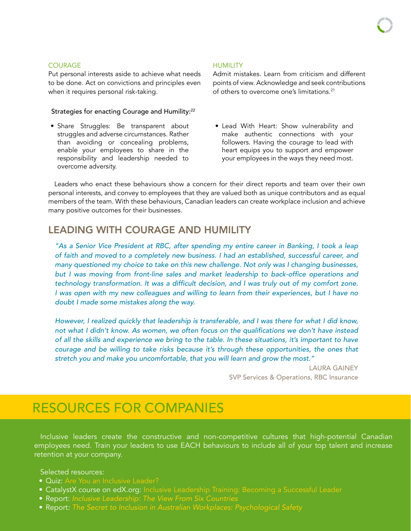#### COURAGE

Put personal interests aside to achieve what needs to be done. Act on convictions and principles even when it requires personal risk-taking.

#### Strategies for enacting Courage and Humility:<sup>22</sup>

• Share Struggles: Be transparent about struggles and adverse circumstances. Rather than avoiding or concealing problems, enable your employees to share in the responsibility and leadership needed to overcome adversity.

#### **HUMILITY**

Admit mistakes. Learn from criticism and different points of view. Acknowledge and seek contributions of others to overcome one's limitations.<sup>21</sup>

• Lead With Heart: Show vulnerability and make authentic connections with your followers. Having the courage to lead with heart equips you to support and empower your employees in the ways they need most.

Leaders who enact these behaviours show a concern for their direct reports and team over their own personal interests, and convey to employees that they are valued both as unique contributors and as equal members of the team. With these behaviours, Canadian leaders can create workplace inclusion and achieve many positive outcomes for their businesses.

### LEADING WITH COURAGE AND HUMILITY

*"As a Senior Vice President at RBC, after spending my entire career in Banking, I took a leap of faith and moved to a completely new business. I had an established, successful career, and many questioned my choice to take on this new challenge. Not only was I changing businesses,*  but I was moving from front-line sales and market leadership to back-office operations and technology transformation. It was a difficult decision, and I was truly out of my comfort zone. *I* was open with my new colleagues and willing to learn from their experiences, but I have no *doubt I made some mistakes along the way.* 

*However, I realized quickly that leadership is transferable, and I was there for what I did know,*  not what I didn't know. As women, we often focus on the qualifications we don't have instead *of all the skills and experience we bring to the table. In these situations, it's important to have courage and be willing to take risks because it's through these opportunities, the ones that stretch you and make you uncomfortable, that you will learn and grow the most."*

> LAURA GAINEY SVP Services & Operations, RBC Insurance

# RESOURCES FOR COMPANIES

Inclusive leaders create the constructive and non-competitive cultures that high-potential Canadian employees need. Train your leaders to use EACH behaviours to include all of your top talent and increase retention at your company.

Selected resources:

- [Quiz: Are You an Inclusive Leader?](http://catalyst.org/knowledge/quiz-are-you-inclusive-leader)
- CatalystX course on [edX.org:](https://www.edx.org/school/catalystx) Inclusive Leadership Training: Becoming a Successful Leader
- Report: *[Inclusive Leadership: The View From Six Countries](http://www.catalyst.org/knowledge/inclusive-leadership-view-six-countries)*
- Report*: [The Secret to Inclusion in Australian Workplaces: Psychological Safety](http://www.catalyst.org/knowledge/secret-inclusion-australian-workplaces-psychological-safety)*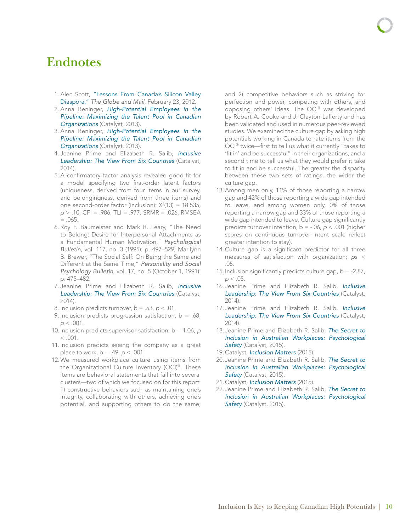## **Endnotes**

- 1. Alec Scott, "[Lessons From Canada's Silicon Valley](http://www.theglobeandmail.com/report-on-business/rob-magazine/lessons-from-canadas-silicon-valley-diaspora/article535544/?page=all) [Diaspora](http://www.theglobeandmail.com/report-on-business/rob-magazine/lessons-from-canadas-silicon-valley-diaspora/article535544/?page=all)," *The Globe and Mail*, February 23, 2012.
- 2. Anna Beninger, *[High-Potential Employees in the](http://www.catalyst.org/knowledge/high-potential-employees-pipeline-maximizing-talent-pool-canadian-organizations) [Pipeline: Maximizing the Talent Pool in Canadian](http://www.catalyst.org/knowledge/high-potential-employees-pipeline-maximizing-talent-pool-canadian-organizations) [Organizations](http://www.catalyst.org/knowledge/high-potential-employees-pipeline-maximizing-talent-pool-canadian-organizations)* (Catalyst, 2013).
- 3. Anna Beninger, *[High-Potential Employees in the](http://www.catalyst.org/knowledge/high-potential-employees-pipeline-maximizing-talent-pool-canadian-organizations) [Pipeline: Maximizing the Talent Pool in Canadian](http://www.catalyst.org/knowledge/high-potential-employees-pipeline-maximizing-talent-pool-canadian-organizations) [Organizations](http://www.catalyst.org/knowledge/high-potential-employees-pipeline-maximizing-talent-pool-canadian-organizations)* (Catalyst, 2013).
- 4. Jeanine Prime and Elizabeth R. Salib, *[Inclusive](http://www.catalyst.org/knowledge/inclusive-leadership-view-six-countries) [Leadership: The View From Six Countries](http://www.catalyst.org/knowledge/inclusive-leadership-view-six-countries)* (Catalyst, 2014).
- 5. A confirmatory factor analysis revealed good fit for a model specifying two first-order latent factors (uniqueness, derived from four items in our survey, and belongingness, derived from three items) and one second-order factor (inclusion):  $X^2(13) = 18.535$ , *p* > .10; CFI = .986, TLI = .977, SRMR = .026, RMSEA  $= .065.$
- 6. Roy F. Baumeister and Mark R. Leary, "The Need to Belong: Desire for Interpersonal Attachments as a Fundamental Human Motivation," *Psychological Bulletin*, vol. 117, no. 3 (1995): p. 497–529; Marilynn B. Brewer, "The Social Self: On Being the Same and Different at the Same Time," *Personality and Social Psychology Bulletin*, vol. 17, no. 5 (October 1, 1991): p. 475–482.
- 7. Jeanine Prime and Elizabeth R. Salib, *[Inclusive](http://www.catalyst.org/knowledge/inclusive-leadership-view-six-countries) [Leadership: The View From Six Countries](http://www.catalyst.org/knowledge/inclusive-leadership-view-six-countries)* (Catalyst, 2014).
- 8. Inclusion predicts turnover, b = .53, *p* < .01.
- 9. Inclusion predicts progression satisfaction,  $b = .68$ , *p* < .001.
- 10. Inclusion predicts supervisor satisfaction, b = 1.06, *p*   $< .001$ .
- 11. Inclusion predicts seeing the company as a great place to work,  $b = .49$ ,  $p < .001$ .
- 12.We measured workplace culture using items from the Organizational Culture Inventory (OCI)®. These items are behavioral statements that fall into several clusters—two of which we focused on for this report: 1) constructive behaviors such as maintaining one's integrity, collaborating with others, achieving one's potential, and supporting others to do the same;

and 2) competitive behaviors such as striving for perfection and power, competing with others, and opposing others' ideas. The OCI® was developed by Robert A. Cooke and J. Clayton Lafferty and has been validated and used in numerous peer-reviewed studies. We examined the culture gap by asking high potentials working in Canada to rate items from the OCI® twice—first to tell us what it currently "takes to 'fit in' and be successful" in their organizations, and a second time to tell us what they would prefer it take to fit in and be successful. The greater the disparity between these two sets of ratings, the wider the culture gap.

- 13.Among men only, 11% of those reporting a narrow gap and 42% of those reporting a wide gap intended to leave, and among women only, 0% of those reporting a narrow gap and 33% of those reporting a wide gap intended to leave. Culture gap significantly predicts turnover intention, b = -.06, *p* < .001 (higher scores on continuous turnover intent scale reflect greater intention to stay).
- 14. Culture gap is a significant predictor for all three measures of satisfaction with organization; *p*s < .05.
- 15. Inclusion significantly predicts culture gap,  $b = -2.87$ , *p* < .05.
- 16. Jeanine Prime and Elizabeth R. Salib, *[Inclusive](http://www.catalyst.org/knowledge/inclusive-leadership-view-six-countries) [Leadership: The View From Six Countries](http://www.catalyst.org/knowledge/inclusive-leadership-view-six-countries)* (Catalyst, 2014).
- 17. Jeanine Prime and Elizabeth R. Salib, *[Inclusive](http://www.catalyst.org/knowledge/inclusive-leadership-view-six-countries) [Leadership: The View From Six Countries](http://www.catalyst.org/knowledge/inclusive-leadership-view-six-countries)* (Catalyst, 2014).
- 18. Jeanine Prime and Elizabeth R. Salib, *[The Secret to](http://www.catalyst.org/knowledge/secret-inclusion-australian-workplaces-psychological-safety) [Inclusion in Australian Workplaces: Psychological](http://www.catalyst.org/knowledge/secret-inclusion-australian-workplaces-psychological-safety) [Safety](http://www.catalyst.org/knowledge/secret-inclusion-australian-workplaces-psychological-safety)* (Catalyst, 2015).
- 19. Catalyst, *[Inclusion Matters](http://www.catalyst.org/knowledge/inclusion-matters)* (2015).
- 20. Jeanine Prime and Elizabeth R. Salib, *[The Secret to](http://www.catalyst.org/knowledge/secret-inclusion-australian-workplaces-psychological-safety) [Inclusion in Australian Workplaces: Psychological](http://www.catalyst.org/knowledge/secret-inclusion-australian-workplaces-psychological-safety) [Safety](http://www.catalyst.org/knowledge/secret-inclusion-australian-workplaces-psychological-safety)* (Catalyst, 2015).
- 21. Catalyst, *[Inclusion Matters](http://www.catalyst.org/knowledge/inclusion-matters)* (2015).
- 22. Jeanine Prime and Elizabeth R. Salib, *[The Secret to](http://www.catalyst.org/knowledge/secret-inclusion-australian-workplaces-psychological-safety) [Inclusion in Australian Workplaces: Psychological](http://www.catalyst.org/knowledge/secret-inclusion-australian-workplaces-psychological-safety)*  [Safety](http://www.catalyst.org/knowledge/secret-inclusion-australian-workplaces-psychological-safety)<sup></sup> (Catalyst, 2015).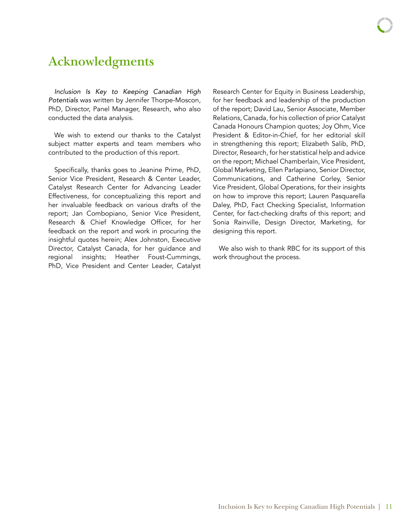# **Acknowledgments**

*Inclusion Is Key to Keeping Canadian High Potentials* was written by Jennifer Thorpe-Moscon, PhD, Director, Panel Manager, Research, who also conducted the data analysis.

We wish to extend our thanks to the Catalyst subject matter experts and team members who contributed to the production of this report.

Specifically, thanks goes to Jeanine Prime, PhD, Senior Vice President, Research & Center Leader, Catalyst Research Center for Advancing Leader Effectiveness, for conceptualizing this report and her invaluable feedback on various drafts of the report; Jan Combopiano, Senior Vice President, Research & Chief Knowledge Officer, for her feedback on the report and work in procuring the insightful quotes herein; Alex Johnston, Executive Director, Catalyst Canada, for her guidance and regional insights; Heather Foust-Cummings, PhD, Vice President and Center Leader, Catalyst

Research Center for Equity in Business Leadership, for her feedback and leadership of the production of the report; David Lau, Senior Associate, Member Relations, Canada, for his collection of prior Catalyst Canada Honours Champion quotes; Joy Ohm, Vice President & Editor-in-Chief, for her editorial skill in strengthening this report; Elizabeth Salib, PhD, Director, Research, for her statistical help and advice on the report; Michael Chamberlain, Vice President, Global Marketing, Ellen Parlapiano, Senior Director, Communications, and Catherine Corley, Senior Vice President, Global Operations, for their insights on how to improve this report; Lauren Pasquarella Daley, PhD, Fact Checking Specialist, Information Center, for fact-checking drafts of this report; and Sonia Rainville, Design Director, Marketing, for designing this report.

We also wish to thank RBC for its support of this work throughout the process.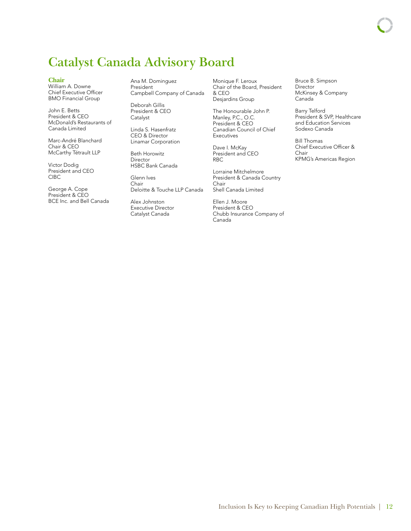# **Catalyst Canada Advisory Board**

#### **Chair**

William A. Downe Chief Executive Officer BMO Financial Group

John E. Betts President & CEO McDonald's Restaurants of Canada Limited

Marc-André Blanchard Chair & CEO McCarthy Tétrault LLP

Victor Dodig President and CEO CIBC

George A. Cope President & CEO BCE Inc. and Bell Canada Ana M. Dominguez President Campbell Company of Canada

Deborah Gillis President & CEO Catalyst

Linda S. Hasenfratz CEO & Director Linamar Corporation

Beth Horowitz Director HSBC Bank Canada

Glenn Ives Chair Deloitte & Touche LLP Canada

Alex Johnston Executive Director Catalyst Canada

Monique F. Leroux Chair of the Board, President & CEO Desjardins Group

The Honourable John P. Manley, P.C., O.C. President & CEO Canadian Council of Chief Executives

Dave I. McKay President and CEO RBC

Lorraine Mitchelmore President & Canada Country Chair Shell Canada Limited

Ellen J. Moore President & CEO Chubb Insurance Company of Canada

Bruce B. Simpson Director McKinsey & Company Canada

Barry Telford President & SVP, Healthcare and Education Services Sodexo Canada

Bill Thomas Chief Executive Officer & Chair KPMG's Americas Region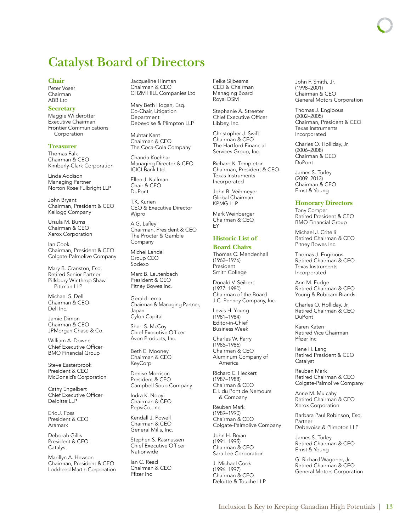## **Catalyst Board of Directors**

#### **Chair**

Peter Voser Chairman ABB Ltd

#### **Secretary**

Maggie Wilderotter Executive Chairman Frontier Communications Corporation

#### **Treasurer**

Thomas Falk Chairman & CEO Kimberly-Clark Corporation

Linda Addison Managing Partner Norton Rose Fulbright LLP

John Bryant Chairman, President & CEO Kellogg Company

Ursula M. Burns Chairman & CEO Xerox Corporation

Ian Cook Chairman, President & CEO Colgate-Palmolive Company

Mary B. Cranston, Esq. Retired Senior Partner Pillsbury Winthrop Shaw Pittman LLP

Michael S. Dell Chairman & CEO Dell Inc.

Jamie Dimon Chairman & CEO JPMorgan Chase & Co.

William A. Downe Chief Executive Officer BMO Financial Group

Steve Easterbrook President & CEO McDonald's Corporation

Cathy Engelbert Chief Executive Officer Deloitte LLP

Eric J. Foss President & CEO Aramark

Deborah Gillis President & CEO Catalyst

Marillyn A. Hewson Chairman, President & CEO Lockheed Martin Corporation Jacqueline Hinman Chairman & CEO CH2M HILL Companies Ltd

Mary Beth Hogan, Esq. Co-Chair, Litigation Department Debevoise & Plimpton LLP

Muhtar Kent Chairman & CEO The Coca-Cola Company

Chanda Kochhar Managing Director & CEO ICICI Bank Ltd.

Ellen J. Kullman Chair & CEO DuPont

TK Kurien CEO & Executive Director Wipro

A.G. Lafley Chairman, President & CEO The Procter & Gamble Company

Michel Landel Group CEO Sodexo

Marc B. Lautenbach President & CEO Pitney Bowes Inc.

Gerald Lema Chairman & Managing Partner, Japan Cylon Capital

Sheri S. McCoy Chief Executive Officer Avon Products, Inc.

Beth E. Mooney Chairman & CEO KeyCorp

Denise Morrison President & CEO Campbell Soup Company

Indra K. Nooyi Chairman & CEO PepsiCo, Inc.

Kendall J. Powell Chairman & CEO General Mills, Inc.

Stephen S. Rasmussen Chief Executive Officer Nationwide

Ian C. Read Chairman & CEO Pfizer Inc

Feike Sijbesma CEO & Chairman Managing Board Royal DSM

Stephanie A. Streeter Chief Executive Officer Libbey, Inc.

Christopher J. Swift Chairman & CEO The Hartford Financial Services Group, Inc.

Richard K. Templeton Chairman, President & CEO Texas Instruments Incorporated

John B. Veihmeyer Global Chairman KPMG LLP

Mark Weinberger Chairman & CEO EY

#### **Historic List of**

#### **Board Chairs**

Thomas C. Mendenhall (1962–1976) President Smith College

Donald V. Seibert (1977–1980) Chairman of the Board J.C. Penney Company, Inc.

Lewis H. Young (1981–1984) Editor-in-Chief Business Week

Charles W. Parry (1985–1986) Chairman & CEO Aluminum Company of America

Richard E. Heckert (1987–1988) Chairman & CEO E.I. du Pont de Nemours & Company

Reuben Mark (1989–1990) Chairman & CEO Colgate-Palmolive Company

John H. Bryan (1991–1995) Chairman & CEO Sara Lee Corporation

J. Michael Cook (1996–1997) Chairman & CEO Deloitte & Touche LLP John F. Smith, Jr. (1998–2001) Chairman & CEO General Motors Corporation

Thomas J. Engibous (2002–2005) Chairman, President & CEO Texas Instruments Incorporated

Charles O. Holliday, Jr. (2006–2008) Chairman & CEO DuPont

James S. Turley (2009–2013) Chairman & CEO Ernst & Young

#### **Honorary Directors**

Tony Comper Retired President & CEO BMO Financial Group

Michael J. Critelli Retired Chairman & CEO Pitney Bowes Inc.

Thomas J. Engibous Retired Chairman & CEO Texas Instruments Incorporated

Ann M. Fudge Retired Chairman & CEO Young & Rubicam Brands

Charles O. Holliday, Jr. Retired Chairman & CEO DuPont

Karen Katen Retired Vice Chairman Pfizer Inc

Ilene H. Lang Retired President & CEO **Catalyst** 

Reuben Mark Retired Chairman & CEO Colgate-Palmolive Company

Anne M. Mulcahy Retired Chairman & CEO Xerox Corporation

Barbara Paul Robinson, Esq. Partner Debevoise & Plimpton LLP

James S. Turley Retired Chairman & CEO Ernst & Young

G. Richard Wagoner, Jr. Retired Chairman & CEO General Motors Corporation